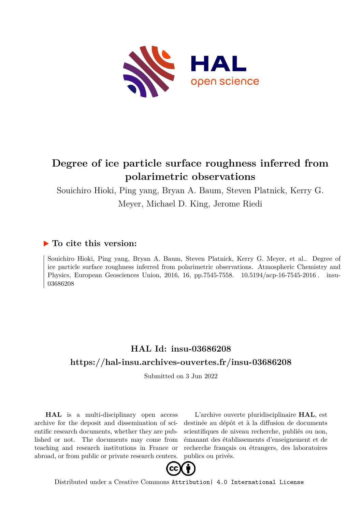

# **Degree of ice particle surface roughness inferred from polarimetric observations**

Souichiro Hioki, Ping yang, Bryan A. Baum, Steven Platnick, Kerry G. Meyer, Michael D. King, Jerome Riedi

# **To cite this version:**

Souichiro Hioki, Ping yang, Bryan A. Baum, Steven Platnick, Kerry G. Meyer, et al.. Degree of ice particle surface roughness inferred from polarimetric observations. Atmospheric Chemistry and Physics, European Geosciences Union, 2016, 16, pp.7545-7558. 10.5194/acp-16-7545-2016. insu-03686208

# **HAL Id: insu-03686208 <https://hal-insu.archives-ouvertes.fr/insu-03686208>**

Submitted on 3 Jun 2022

**HAL** is a multi-disciplinary open access archive for the deposit and dissemination of scientific research documents, whether they are published or not. The documents may come from teaching and research institutions in France or abroad, or from public or private research centers.

L'archive ouverte pluridisciplinaire **HAL**, est destinée au dépôt et à la diffusion de documents scientifiques de niveau recherche, publiés ou non, émanant des établissements d'enseignement et de recherche français ou étrangers, des laboratoires publics ou privés.



Distributed under a Creative Commons [Attribution| 4.0 International License](http://creativecommons.org/licenses/by/4.0/)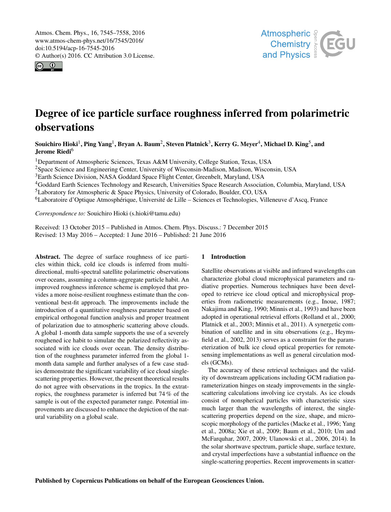Atmos. Chem. Phys., 16, 7545–7558, 2016 www.atmos-chem-phys.net/16/7545/2016/ doi:10.5194/acp-16-7545-2016 © Author(s) 2016. CC Attribution 3.0 License.





# Degree of ice particle surface roughness inferred from polarimetric observations

Souichiro Hioki $^1$ , Ping Yang $^1$ , Bryan A. Baum $^2$ , Steven Platnick $^3$ , Kerry G. Meyer $^4$ , Michael D. King $^5$ , and Jerome Riedi<sup>6</sup>

<sup>1</sup>Department of Atmospheric Sciences, Texas A&M University, College Station, Texas, USA

<sup>2</sup>Space Science and Engineering Center, University of Wisconsin-Madison, Madison, Wisconsin, USA

<sup>3</sup>Earth Science Division, NASA Goddard Space Flight Center, Greenbelt, Maryland, USA

<sup>4</sup>Goddard Earth Sciences Technology and Research, Universities Space Research Association, Columbia, Maryland, USA

<sup>5</sup>Laboratory for Atmospheric & Space Physics, University of Colorado, Boulder, CO, USA

<sup>6</sup>Laboratoire d'Optique Atmosphérique, Université de Lille – Sciences et Technologies, Villeneuve d'Ascq, France

*Correspondence to:* Souichiro Hioki (s.hioki@tamu.edu)

Received: 13 October 2015 – Published in Atmos. Chem. Phys. Discuss.: 7 December 2015 Revised: 13 May 2016 – Accepted: 1 June 2016 – Published: 21 June 2016

Abstract. The degree of surface roughness of ice particles within thick, cold ice clouds is inferred from multidirectional, multi-spectral satellite polarimetric observations over oceans, assuming a column-aggregate particle habit. An improved roughness inference scheme is employed that provides a more noise-resilient roughness estimate than the conventional best-fit approach. The improvements include the introduction of a quantitative roughness parameter based on empirical orthogonal function analysis and proper treatment of polarization due to atmospheric scattering above clouds. A global 1-month data sample supports the use of a severely roughened ice habit to simulate the polarized reflectivity associated with ice clouds over ocean. The density distribution of the roughness parameter inferred from the global 1 month data sample and further analyses of a few case studies demonstrate the significant variability of ice cloud singlescattering properties. However, the present theoretical results do not agree with observations in the tropics. In the extratropics, the roughness parameter is inferred but 74 % of the sample is out of the expected parameter range. Potential improvements are discussed to enhance the depiction of the natural variability on a global scale.

# 1 Introduction

Satellite observations at visible and infrared wavelengths can characterize global cloud microphysical parameters and radiative properties. Numerous techniques have been developed to retrieve ice cloud optical and microphysical properties from radiometric measurements (e.g., Inoue, 1987; Nakajima and King, 1990; Minnis et al., 1993) and have been adopted in operational retrieval efforts (Rolland et al., 2000; Platnick et al., 2003; Minnis et al., 2011). A synergetic combination of satellite and in situ observations (e.g., Heymsfield et al., 2002, 2013) serves as a constraint for the parameterization of bulk ice cloud optical properties for remotesensing implementations as well as general circulation models (GCMs).

The accuracy of these retrieval techniques and the validity of downstream applications including GCM radiation parameterization hinges on steady improvements in the singlescattering calculations involving ice crystals. As ice clouds consist of nonspherical particles with characteristic sizes much larger than the wavelengths of interest, the singlescattering properties depend on the size, shape, and microscopic morphology of the particles (Macke et al., 1996; Yang et al., 2008a; Xie et al., 2009; Baum et al., 2010; Um and McFarquhar, 2007, 2009; Ulanowski et al., 2006, 2014). In the solar shortwave spectrum, particle shape, surface texture, and crystal imperfections have a substantial influence on the single-scattering properties. Recent improvements in scatter-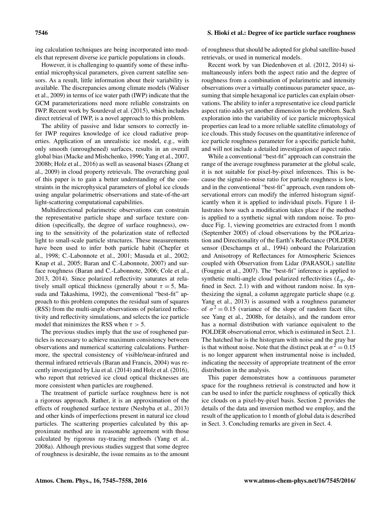# 7546 S. Hioki et al.: Degree of ice particle surface roughness

ing calculation techniques are being incorporated into models that represent diverse ice particle populations in clouds.

However, it is challenging to quantify some of these influential microphysical parameters, given current satellite sensors. As a result, little information about their variability is available. The discrepancies among climate models (Waliser et al., 2009) in terms of ice water path (IWP) indicate that the GCM parameterizations need more reliable constraints on IWP. Recent work by Sourdeval et al. (2015), which includes direct retrieval of IWP, is a novel approach to this problem.

The ability of passive and lidar sensors to correctly infer IWP requires knowledge of ice cloud radiative properties. Application of an unrealistic ice model, e.g., with only smooth (unroughened) surfaces, results in an overall global bias (Macke and Mishchenko, 1996; Yang et al., 2007, 2008b; Holz et al., 2016) as well as seasonal biases (Zhang et al., 2009) in cloud property retrievals. The overarching goal of this paper is to gain a better understanding of the constraints in the microphysical parameters of global ice clouds using angular polarimetric observations and state-of-the-art light-scattering computational capabilities.

Multidirectional polarimetric observations can constrain the representative particle shape and surface texture condition (specifically, the degree of surface roughness), owing to the sensitivity of the polarization state of reflected light to small-scale particle structures. These measurements have been used to infer both particle habit (Chepfer et al., 1998; C.-Labonnote et al., 2001; Masuda et al., 2002; Knap et al., 2005; Baran and C.-Labonnote, 2007) and surface roughness (Baran and C.-Labonnote, 2006; Cole et al., 2013, 2014). Since polarized reflectivity saturates at relatively small optical thickness (generally about  $\tau = 5$ , Masuda and Takashima, 1992), the conventional "best-fit" approach to this problem computes the residual sum of squares (RSS) from the multi-angle observations of polarized reflectivity and reflectivity simulations, and selects the ice particle model that minimizes the RSS when  $\tau > 5$ .

The previous studies imply that the use of roughened particles is necessary to achieve maximum consistency between observations and numerical scattering calculations. Furthermore, the spectral consistency of visible/near-infrared and thermal infrared retrievals (Baran and Francis, 2004) was recently investigated by Liu et al. (2014) and Holz et al. (2016), who report that retrieved ice cloud optical thicknesses are more consistent when particles are roughened.

The treatment of particle surface roughness here is not a rigorous approach. Rather, it is an approximation of the effects of roughened surface texture (Neshyba et al., 2013) and other kinds of imperfections present in natural ice cloud particles. The scattering properties calculated by this approximate method are in reasonable agreement with those calculated by rigorous ray-tracing methods (Yang et al., 2008a). Although previous studies suggest that some degree of roughness is desirable, the issue remains as to the amount of roughness that should be adopted for global satellite-based retrievals, or used in numerical models.

Recent work by van Diedenhoven et al. (2012, 2014) simultaneously infers both the aspect ratio and the degree of roughness from a combination of polarimetric and intensity observations over a virtually continuous parameter space, assuming that simple hexagonal ice particles can explain observations. The ability to infer a representative ice cloud particle aspect ratio adds yet another dimension to the problem. Such exploration into the variability of ice particle microphysical properties can lead to a more reliable satellite climatology of ice clouds. This study focuses on the quantitative inference of ice particle roughness parameter for a specific particle habit, and will not include a detailed investigation of aspect ratio.

While a conventional "best-fit" approach can constrain the range of the average roughness parameter at the global scale, it is not suitable for pixel-by-pixel inferences. This is because the signal-to-noise ratio for particle roughness is low, and in the conventional "best-fit" approach, even random observational errors can modify the inferred histogram significantly when it is applied to individual pixels. Figure 1 illustrates how such a modification takes place if the method is applied to a synthetic signal with random noise. To produce Fig. 1, viewing geometries are extracted from 1 month (September 2005) of cloud observations by the POLarization and Directionality of the Earth's Reflectance (POLDER) sensor (Deschamps et al., 1994) onboard the Polarization and Anisotropy of Reflectances for Atmospheric Sciences coupled with Observation from Lidar (PARASOL) satellite (Fougnie et al., 2007). The "best-fit" inference is applied to synthetic multi-angle cloud polarized reflectivities  $(L_p, de$ fined in Sect. 2.1) with and without random noise. In synthesizing the signal, a column aggregate particle shape (e.g. Yang et al., 2013) is assumed with a roughness parameter of  $\sigma^2 = 0.15$  (variance of the slope of random facet tilts, see Yang et al., 2008b, for details), and the random error has a normal distribution with variance equivalent to the POLDER observational error, which is estimated in Sect. 2.1. The hatched bar is the histogram with noise and the gray bar is that without noise. Note that the distinct peak at  $\sigma^2 = 0.15$ is no longer apparent when instrumental noise is included, indicating the necessity of appropriate treatment of the error distribution in the analysis.

This paper demonstrates how a continuous parameter space for the roughness retrieval is constructed and how it can be used to infer the particle roughness of optically thick ice clouds on a pixel-by-pixel basis. Section 2 provides the details of the data and inversion method we employ, and the result of the application to 1 month of global data is described in Sect. 3. Concluding remarks are given in Sect. 4.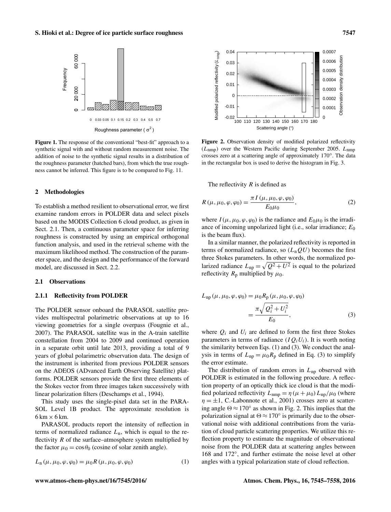

Figure 1. The response of the conventional "best-fit" approach to a synthetic signal with and without random measurement noise. The addition of noise to the synthetic signal results in a distribution of the roughness parameter (hatched bars), from which the true roughness cannot be inferred. This figure is to be compared to Fig. 11.

# 2 Methodologies

To establish a method resilient to observational error, we first examine random errors in POLDER data and select pixels based on the MODIS Collection 6 cloud product, as given in Sect. 2.1. Then, a continuous parameter space for inferring roughness is constructed by using an empirical orthogonal function analysis, and used in the retrieval scheme with the maximum likelihood method. The construction of the parameter space, and the design and the performance of the forward model, are discussed in Sect. 2.2.

#### 2.1 Observations

#### 2.1.1 Reflectivity from POLDER

The POLDER sensor onboard the PARASOL satellite provides multispectral polarimetric observations at up to 16 viewing geometries for a single overpass (Fougnie et al., 2007). The PARASOL satellite was in the A-train satellite constellation from 2004 to 2009 and continued operation in a separate orbit until late 2013, providing a total of 9 years of global polarimetric observation data. The design of the instrument is inherited from previous POLDER sensors on the ADEOS (ADvanced Earth Observing Satellite) platforms. POLDER sensors provide the first three elements of the Stokes vector from three images taken successively with linear polarization filters (Deschamps et al., 1994).

This study uses the single-pixel data set in the PARA-SOL Level 1B product. The approximate resolution is  $6 \text{ km} \times 6 \text{ km}$ .

PARASOL products report the intensity of reflection in terms of normalized radiance  $L_n$ , which is equal to the reflectivity  $R$  of the surface–atmosphere system multiplied by the factor  $\mu_0 = \cos \theta_0$  (cosine of solar zenith angle).

$$
L_{n}(\mu, \mu_{0}, \varphi, \varphi_{0}) = \mu_{0} R(\mu, \mu_{0}, \varphi, \varphi_{0})
$$
\n(1)



Figure 2. Observation density of modified polarized reflectivity  $(L_{nmn})$  over the Western Pacific during September 2005.  $L_{nmn}$ crosses zero at a scattering angle of approximately 170°. The data in the rectangular box is used to derive the histogram in Fig. 3.

The reflectivity  $R$  is defined as

$$
R(\mu, \mu_0, \varphi, \varphi_0) = \frac{\pi I(\mu, \mu_0, \varphi, \varphi_0)}{E_0 \mu_0},
$$
\n(2)

where  $I(\mu, \mu_0, \varphi, \varphi_0)$  is the radiance and  $E_0\mu_0$  is the irradiance of incoming unpolarized light (i.e., solar irradiance;  $E_0$ is the beam flux).

In a similar manner, the polarized reflectivity is reported in terms of normalized radiance, so  $(L_nQU)$  becomes the first three Stokes parameters. In other words, the normalized polarized radiance  $L_{\text{np}} = \sqrt{Q^2 + U^2}$  is equal to the polarized reflectivity  $R_p$  multiplied by  $\mu_0$ .

$$
L_{\rm np}(\mu, \mu_0, \varphi, \varphi_0) = \mu_0 R_{\rm p}(\mu, \mu_0, \varphi, \varphi_0)
$$
  
= 
$$
\frac{\pi \sqrt{Q_i^2 + U_i^2}}{E_0},
$$
 (3)

where  $Q_i$  and  $U_i$  are defined to form the first three Stokes parameters in terms of radiance  $(IQ_iU_i)$ . It is worth noting the similarity between Eqs. (1) and (3). We conduct the analysis in terms of  $L_{\text{np}} = \mu_0 R_{\text{p}}$  defined in Eq. (3) to simplify the error estimate.

The distribution of random errors in  $L_{np}$  observed with POLDER is estimated in the following procedure. A reflection property of an optically thick ice cloud is that the modified polarized reflectivity  $L_{\text{nmp}} = \eta (\mu + \mu_0) L_{\text{np}}/\mu_0$  (where  $\eta = \pm 1$ , C.-Labonnote et al., 2001) crosses zero at scattering angle  $\Theta \approx 170^\circ$  as shown in Fig. 2. This implies that the polarization signal at  $\Theta \approx 170^\circ$  is primarily due to the observational noise with additional contributions from the variation of cloud particle scattering properties. We utilize this reflection property to estimate the magnitude of observational noise from the POLDER data at scattering angles between 168 and 172◦ , and further estimate the noise level at other angles with a typical polarization state of cloud reflection.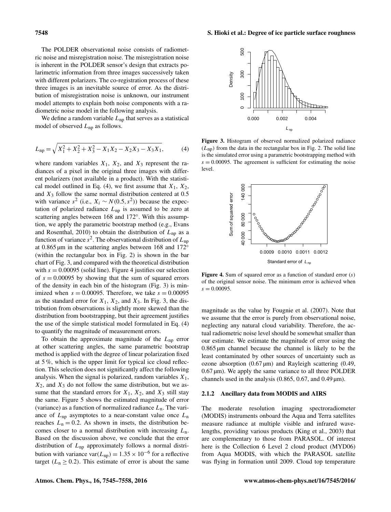The POLDER observational noise consists of radiometric noise and misregistration noise. The misregistration noise is inherent in the POLDER sensor's design that extracts polarimetric information from three images successively taken with different polarizers. The co-registration process of these three images is an inevitable source of error. As the distribution of misregistration noise is unknown, our instrument model attempts to explain both noise components with a radiometric noise model in the following analysis.

We define a random variable  $L_{np}$  that serves as a statistical model of observed  $L_{np}$  as follows.

$$
L_{\rm np} = \sqrt{X_1^2 + X_2^2 + X_3^2 - X_1 X_2 - X_2 X_3 - X_3 X_1},\tag{4}
$$

where random variables  $X_1$ ,  $X_2$ , and  $X_3$  represent the radiances of a pixel in the original three images with different polarizers (not available in a product). With the statistical model outlined in Eq. (4), we first assume that  $X_1, X_2$ , and  $X_3$  follow the same normal distribution centered at 0.5 with variance  $s^2$  (i.e.,  $X_i \sim N(0.5, s^2)$ ) because the expectation of polarized radiance  $L_{np}$  is assumed to be zero at scattering angles between 168 and 172°. With this assumption, we apply the parametric bootstrap method (e.g., Evans and Rosenthal, 2010) to obtain the distribution of  $L_{\text{np}}$  as a function of variance  $s^2$ . The observational distribution of  $L_{np}$ at 0.865 µm in the scattering angles between 168 and 172◦ (within the rectangular box in Fig. 2) is shown in the bar chart of Fig. 3, and compared with the theoretical distribution with  $s = 0.00095$  (solid line). Figure 4 justifies our selection of  $s = 0.00095$  by showing that the sum of squared errors of the density in each bin of the histogram (Fig. 3) is minimized when  $s = 0.00095$ . Therefore, we take  $s = 0.00095$ as the standard error for  $X_1$ ,  $X_2$ , and  $X_3$ . In Fig. 3, the distribution from observations is slightly more skewed than the distribution from bootstrapping, but their agreement justifies the use of the simple statistical model formulated in Eq. (4) to quantify the magnitude of measurement errors.

To obtain the approximate magnitude of the  $L_{np}$  error at other scattering angles, the same parametric bootstrap method is applied with the degree of linear polarization fixed at 5 %, which is the upper limit for typical ice cloud reflection. This selection does not significantly affect the following analysis. When the signal is polarized, random variables  $X_1$ ,  $X_2$ , and  $X_3$  do not follow the same distribution, but we assume that the standard errors for  $X_1$ ,  $X_2$ , and  $X_3$  still stay the same. Figure 5 shows the estimated magnitude of error (variance) as a function of normalized radiance  $L_n$ . The variance of  $L_{np}$  asymptotes to a near-constant value once  $L_n$ reaches  $L_n = 0.2$ . As shown in insets, the distribution becomes closer to a normal distribution with increasing  $L_n$ . Based on the discussion above, we conclude that the error distribution of  $L_{\text{np}}$  approximately follows a normal distribution with variance var( $L_{\text{np}}$ ) = 1.35 × 10<sup>-6</sup> for a reflective target ( $L_n \geq 0.2$ ). This estimate of error is about the same



Figure 3. Histogram of observed normalized polarized radiance  $(L_{\text{np}})$  from the data in the rectangular box in Fig. 2. The solid line is the simulated error using a parametric bootstrapping method with  $s = 0.00095$ . The agreement is sufficient for estimating the noise level.



**Figure 4.** Sum of squared error as a function of standard error  $(s)$ of the original sensor noise. The minimum error is achieved when  $s = 0.00095$ .

magnitude as the value by Fougnie et al. (2007). Note that we assume that the error is purely from observational noise, neglecting any natural cloud variability. Therefore, the actual radiometric noise level should be somewhat smaller than our estimate. We estimate the magnitude of error using the 0.865 µm channel because the channel is likely to be the least contaminated by other sources of uncertainty such as ozone absorption  $(0.67 \,\text{\mu m})$  and Rayleigh scattering  $(0.49, \text{m})$  $0.67 \,\mathrm{\mu m}$ ). We apply the same variance to all three POLDER channels used in the analysis  $(0.865, 0.67, \text{ and } 0.49 \,\text{\textmu})$ .

#### 2.1.2 Ancillary data from MODIS and AIRS

The moderate resolution imaging spectroradiometer (MODIS) instruments onboard the Aqua and Terra satellites measure radiance at multiple visible and infrared wavelengths, providing various products (King et al., 2003) that are complementary to those from PARASOL. Of interest here is the Collection 6 Level 2 cloud product (MYD06) from Aqua MODIS, with which the PARASOL satellite was flying in formation until 2009. Cloud top temperature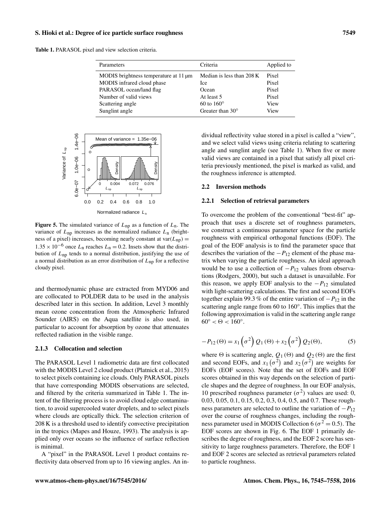### S. Hioki et al.: Degree of ice particle surface roughness 7549

Table 1. PARASOL pixel and view selection criteria.

| Criteria                  | Applied to |
|---------------------------|------------|
| Median is less than 208 K | Pixel      |
| Ice                       | Pixel      |
| Ocean                     | Pixel      |
| At least 5                | Pixel      |
| $60$ to $160^\circ$       | View       |
| Greater than $30^{\circ}$ | View       |
|                           |            |



**Figure 5.** The simulated variance of  $L_{np}$  as a function of  $L_n$ . The variance of  $L_{\text{np}}$  increases as the normalized radiance  $L_{\text{n}}$  (brightness of a pixel) increases, becoming nearly constant at  $var(L_{nn}) =$  $1.35 \times 10^{-6}$  once  $L_n$  reaches  $L_n = 0.2$ . Insets show that the distribution of  $L_{\text{np}}$  tends to a normal distribution, justifying the use of a normal distribution as an error distribution of  $L_{np}$  for a reflective cloudy pixel.

and thermodynamic phase are extracted from MYD06 and are collocated to POLDER data to be used in the analysis described later in this section. In addition, Level 3 monthly mean ozone concentration from the Atmospheric Infrared Sounder (AIRS) on the Aqua satellite is also used, in particular to account for absorption by ozone that attenuates reflected radiation in the visible range.

# 2.1.3 Collocation and selection

The PARASOL Level 1 radiometric data are first collocated with the MODIS Level 2 cloud product (Platnick et al., 2015) to select pixels containing ice clouds. Only PARASOL pixels that have corresponding MODIS observations are selected, and filtered by the criteria summarized in Table 1. The intent of the filtering process is to avoid cloud edge contamination, to avoid supercooled water droplets, and to select pixels where clouds are optically thick. The selection criterion of 208 K is a threshold used to identify convective precipitation in the tropics (Mapes and Houze, 1993). The analysis is applied only over oceans so the influence of surface reflection is minimal.

A "pixel" in the PARASOL Level 1 product contains reflectivity data observed from up to 16 viewing angles. An in-

dividual reflectivity value stored in a pixel is called a "view", and we select valid views using criteria relating to scattering angle and sunglint angle (see Table 1). When five or more valid views are contained in a pixel that satisfy all pixel criteria previously mentioned, the pixel is marked as valid, and the roughness inference is attempted.

#### 2.2 Inversion methods

# 2.2.1 Selection of retrieval parameters

To overcome the problem of the conventional "best-fit" approach that uses a discrete set of roughness parameters, we construct a continuous parameter space for the particle roughness with empirical orthogonal functions (EOF). The goal of the EOF analysis is to find the parameter space that describes the variation of the  $-P_{12}$  element of the phase matrix when varying the particle roughness. An ideal approach would be to use a collection of  $-P_{12}$  values from observations (Rodgers, 2000), but such a dataset is unavailable. For this reason, we apply EOF analysis to the  $-P_{12}$  simulated with light-scattering calculations. The first and second EOFs together explain 99.3 % of the entire variation of  $-P_{12}$  in the scattering angle range from 60 to 160°. This implies that the following approximation is valid in the scattering angle range  $60^{\circ} < \Theta < 160^{\circ}$ .

$$
-P_{12}(\Theta) = x_1\left(\sigma^2\right)Q_1(\Theta) + x_2\left(\sigma^2\right)Q_2(\Theta),\tag{5}
$$

where  $\Theta$  is scattering angle,  $Q_1(\Theta)$  and  $Q_2(\Theta)$  are the first and second EOFs, and  $x_1(\sigma^2)$  and  $x_2(\sigma^2)$  are weights for EOFs (EOF scores). Note that the set of EOFs and EOF scores obtained in this way depends on the selection of particle shapes and the degree of roughness. In our EOF analysis, 10 prescribed roughness parameter  $(\sigma^2)$  values are used: 0, 0.03, 0.05, 0.1, 0.15, 0.2, 0.3, 0.4, 0.5, and 0.7. These roughness parameters are selected to outline the variation of  $-P_{12}$ over the course of roughness changes, including the roughness parameter used in MODIS Collection 6 ( $\sigma^2 = 0.5$ ). The EOF scores are shown in Fig. 6. The EOF 1 primarily describes the degree of roughness, and the EOF 2 score has sensitivity to large roughness parameters. Therefore, the EOF 1 and EOF 2 scores are selected as retrieval parameters related to particle roughness.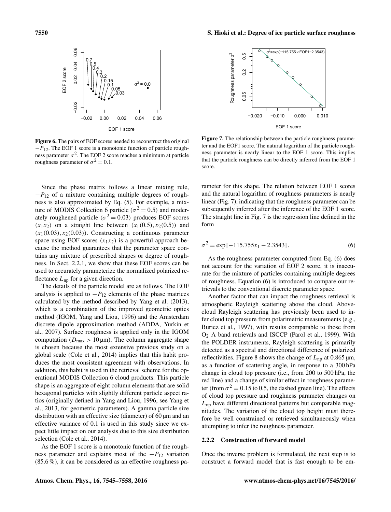

Figure 6. The pairs of EOF scores needed to reconstruct the original  $-P_{12}$ . The EOF 1 score is a monotonic function of particle roughness parameter  $\sigma^2$ . The EOF 2 score reaches a minimum at particle roughness parameter of  $\sigma^2 = 0.1$ .

Since the phase matrix follows a linear mixing rule,  $-P_{12}$  of a mixture containing multiple degrees of roughness is also approximated by Eq. (5). For example, a mixture of MODIS Collection 6 particle ( $\sigma^2 = 0.5$ ) and moderately roughened particle ( $\sigma^2 = 0.03$ ) produces EOF scores  $(x_1x_2)$  on a straight line between  $(x_1(0.5), x_2(0.5))$  and  $(x_1(0.03), x_2(0.03))$ . Constructing a continuous parameter space using EOF scores  $(x_1x_2)$  is a powerful approach because the method guarantees that the parameter space contains any mixture of prescribed shapes or degree of roughness. In Sect. 2.2.1, we show that these EOF scores can be used to accurately parameterize the normalized polarized reflectance  $L_{\text{np}}$  for a given direction.

The details of the particle model are as follows. The EOF analysis is applied to  $-P_{12}$  elements of the phase matrices calculated by the method described by Yang et al. (2013), which is a combination of the improved geometric optics method (IGOM, Yang and Liou, 1996) and the Amsterdam discrete dipole approximation method (ADDA, Yurkin et al., 2007). Surface roughness is applied only in the IGOM computation ( $D_{\text{max}} > 10 \,\mu\text{m}$ ). The column aggregate shape is chosen because the most extensive previous study on a global scale (Cole et al., 2014) implies that this habit produces the most consistent agreement with observations. In addition, this habit is used in the retrieval scheme for the operational MODIS Collection 6 cloud products. This particle shape is an aggregate of eight column elements that are solid hexagonal particles with slightly different particle aspect ratios (originally defined in Yang and Liou, 1996, see Yang et al., 2013, for geometric parameters). A gamma particle size distribution with an effective size (diameter) of 60  $\mu$ m and an effective variance of 0.1 is used in this study since we expect little impact on our analysis due to this size distribution selection (Cole et al., 2014).

As the EOF 1 score is a monotonic function of the roughness parameter and explains most of the  $-P_{12}$  variation (85.6 %), it can be considered as an effective roughness pa-



Figure 7. The relationship between the particle roughness parameter and the EOF1 score. The natural logarithm of the particle roughness parameter is nearly linear to the EOF 1 score. This implies that the particle roughness can be directly inferred from the EOF 1 score.

rameter for this shape. The relation between EOF 1 scores and the natural logarithm of roughness parameters is nearly linear (Fig. 7), indicating that the roughness parameter can be subsequently inferred after the inference of the EOF 1 score. The straight line in Fig. 7 is the regression line defined in the form

$$
\sigma^2 = \exp[-115.755x_1 - 2.3543].
$$
 (6)

As the roughness parameter computed from Eq. (6) does not account for the variation of EOF 2 score, it is inaccurate for the mixture of particles containing multiple degrees of roughness. Equation (6) is introduced to compare our retrievals to the conventional discrete parameter space.

Another factor that can impact the roughness retrieval is atmospheric Rayleigh scattering above the cloud. Abovecloud Rayleigh scattering has previously been used to infer cloud top pressure from polarimetric measurements (e.g., Buriez et al., 1997), with results comparable to those from O<sup>2</sup> A band retrievals and ISCCP (Parol et al., 1999). With the POLDER instruments, Rayleigh scattering is primarily detected as a spectral and directional difference of polarized reflectivities. Figure 8 shows the change of  $L_{np}$  at 0.865  $\mu$ m, as a function of scattering angle, in response to a 300 hPa change in cloud top pressure (i.e., from 200 to 500 hPa, the red line) and a change of similar effect in roughness parameter (from  $\sigma^2 = 0.15$  to 0.5, the dashed green line). The effects of cloud top pressure and roughness parameter changes on  $L_{\text{np}}$  have different directional patterns but comparable magnitudes. The variation of the cloud top height must therefore be well constrained or retrieved simultaneously when attempting to infer the roughness parameter.

# 2.2.2 Construction of forward model

Once the inverse problem is formulated, the next step is to construct a forward model that is fast enough to be em-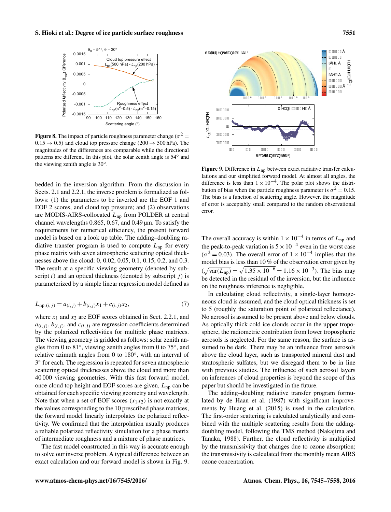

**Figure 8.** The impact of particle roughness parameter change ( $\sigma^2$  =  $0.15 \rightarrow 0.5$ ) and cloud top pressure change (200  $\rightarrow$  500 hPa). The magnitudes of the differences are comparable while the directional patterns are different. In this plot, the solar zenith angle is 54° and the viewing zenith angle is  $30^\circ$ .

bedded in the inversion algorithm. From the discussion in Sects. 2.1 and 2.2.1, the inverse problem is formalized as follows: (1) the parameters to be inverted are the EOF 1 and EOF 2 scores, and cloud top pressure; and (2) observations are MODIS-AIRS-collocated  $L_{\text{np}}$  from POLDER at central channel wavelengths 0.865, 0.67, and 0.49 µm. To satisfy the requirements for numerical efficiency, the present forward model is based on a look up table. The adding–doubling radiative transfer program is used to compute  $L_{\text{np}}$  for every phase matrix with seven atmospheric scattering optical thicknesses above the cloud: 0, 0.02, 0.05, 0.1, 0.15, 0.2, and 0.3. The result at a specific viewing geometry (denoted by subscript  $i$ ) and an optical thickness (denoted by subscript  $j$ ) is parameterized by a simple linear regression model defined as

$$
L_{\text{np},(i,j)} = a_{(i,j)} + b_{(i,j)}x_1 + c_{(i,j)}x_2,\tag{7}
$$

where  $x_1$  and  $x_2$  are EOF scores obtained in Sect. 2.2.1, and  $a_{(i,j)}$ ,  $b_{(i,j)}$ , and  $c_{(i,j)}$  are regression coefficients determined by the polarized reflectivities for multiple phase matrices. The viewing geometry is gridded as follows: solar zenith angles from 0 to 81°, viewing zenith angles from 0 to 75°, and relative azimuth angles from 0 to 180°, with an interval of 3 ◦ for each. The regression is repeated for seven atmospheric scattering optical thicknesses above the cloud and more than 40 000 viewing geometries. With this fast forward model, once cloud top height and EOF scores are given,  $L_{\text{np}}$  can be obtained for each specific viewing geometry and wavelength. Note that when a set of EOF scores  $(x_1x_2)$  is not exactly at the values corresponding to the 10 prescribed phase matrices, the forward model linearly interpolates the polarized reflectivity. We confirmed that the interpolation usually produces a reliable polarized reflectivity simulation for a phase matrix of intermediate roughness and a mixture of phase matrices.

The fast model constructed in this way is accurate enough to solve our inverse problem. A typical difference between an exact calculation and our forward model is shown in Fig. 9.



Figure 9. Difference in  $L_{\text{np}}$  between exact radiative transfer calculations and our simplified forward model. At almost all angles, the difference is less than  $1 \times 10^{-4}$ . The polar plot shows the distribution of bias when the particle roughness parameter is  $\sigma^2 = 0.15$ . The bias is a function of scattering angle. However, the magnitude of error is acceptably small compared to the random observational error.

The overall accuracy is within  $1 \times 10^{-4}$  in terms of  $L_{np}$  and the peak-to-peak variation is  $5 \times 10^{-4}$  even in the worst case  $(\sigma^2 = 0.03)$ . The overall error of  $1 \times 10^{-4}$  implies that the model bias is less than 10 % of the observation error given by  $(\sqrt{\text{var}(L_{\text{np}})} = \sqrt{1.35 \times 10^{-6}} = 1.16 \times 10^{-3})$ . The bias may be detected in the residual of the inversion, but the influence on the roughness inference is negligible.

In calculating cloud reflectivity, a single-layer homogeneous cloud is assumed, and the cloud optical thickness is set to 5 (roughly the saturation point of polarized reflectance). No aerosol is assumed to be present above and below clouds. As optically thick cold ice clouds occur in the upper troposphere, the radiometric contribution from lower tropospheric aerosols is neglected. For the same reason, the surface is assumed to be dark. There may be an influence from aerosols above the cloud layer, such as transported mineral dust and stratospheric sulfates, but we disregard them to be in line with previous studies. The influence of such aerosol layers on inferences of cloud properties is beyond the scope of this paper but should be investigated in the future.

The adding–doubling radiative transfer program formulated by de Haan et al. (1987) with significant improvements by Huang et al. (2015) is used in the calculation. The first-order scattering is calculated analytically and combined with the multiple scattering results from the addingdoubling model, following the TMS method (Nakajima and Tanaka, 1988). Further, the cloud reflectivity is multiplied by the transmissivity that changes due to ozone absorption; the transmissivity is calculated from the monthly mean AIRS ozone concentration.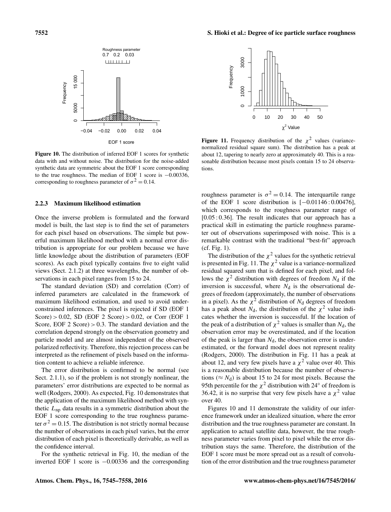EOF 1 score −0.04 −0.02 0.00 0.02 0.04 Figure 10. The distribution of inferred EOF 1 scores for synthetic data with and without noise. The distribution for the noise-added synthetic data are symmetric about the EOF 1 score corresponding to the true roughness. The median of EOF 1 score is −0.00336, corresponding to roughness parameter of  $\sigma^2 = 0.14$ .

0.7 0.2 0.03 Roughness parameter

**LITTLE LI** 

### 2.2.3 Maximum likelihood estimation

Once the inverse problem is formulated and the forward model is built, the last step is to find the set of parameters for each pixel based on observations. The simple but powerful maximum likelihood method with a normal error distribution is appropriate for our problem because we have little knowledge about the distribution of parameters (EOF scores). As each pixel typically contains five to eight valid views (Sect. 2.1.2) at three wavelengths, the number of observations in each pixel ranges from 15 to 24.

The standard deviation (SD) and correlation (Corr) of inferred parameters are calculated in the framework of maximum likelihood estimation, and used to avoid underconstrained inferences. The pixel is rejected if SD (EOF 1 Score)  $> 0.02$ , SD (EOF 2 Score)  $> 0.02$ , or Corr (EOF 1 Score, EOF 2 Score)  $> 0.3$ . The standard deviation and the correlation depend strongly on the observation geometry and particle model and are almost independent of the observed polarized reflectivity. Therefore, this rejection process can be interpreted as the refinement of pixels based on the information content to achieve a reliable inference.

The error distribution is confirmed to be normal (see Sect. 2.1.1), so if the problem is not strongly nonlinear, the parameters' error distributions are expected to be normal as well (Rodgers, 2000). As expected, Fig. 10 demonstrates that the application of the maximum likelihood method with synthetic  $L_{\text{np}}$  data results in a symmetric distribution about the EOF 1 score corresponding to the true roughness parameter  $\sigma^2 = 0.15$ . The distribution is not strictly normal because the number of observations in each pixel varies, but the error distribution of each pixel is theoretically derivable, as well as the confidence interval.

For the synthetic retrieval in Fig. 10, the median of the inverted EOF 1 score is −0.00336 and the corresponding

 $\chi^2$  Value **Figure 11.** Frequency distribution of the  $\chi^2$  values (variancenormalized residual square sum). The distribution has a peak at about 12, tapering to nearly zero at approximately 40. This is a reasonable distribution because most pixels contain 15 to 24 observations.

roughness parameter is  $\sigma^2 = 0.14$ . The interquartile range of the EOF 1 score distribution is [−0.01146 : 0.00476], which corresponds to the roughness parameter range of [0.05 : 0.36]. The result indicates that our approach has a practical skill in estimating the particle roughness parameter out of observations superimposed with noise. This is a remarkable contrast with the traditional "best-fit" approach (cf. Fig. 1).

The distribution of the  $\chi^2$  values for the synthetic retrieval is presented in Fig. 11. The  $\chi^2$  value is a variance-normalized residual squared sum that is defined for each pixel, and follows the  $\chi^2$  distribution with degrees of freedom  $N_d$  if the inversion is successful, where  $N_d$  is the observational degrees of freedom (approximately, the number of observations in a pixel). As the  $\chi^2$  distribution of  $N_d$  degrees of freedom has a peak about  $N_d$ , the distribution of the  $\chi^2$  value indicates whether the inversion is successful. If the location of the peak of a distribution of  $\chi^2$  values is smaller than  $N_d$ , the observation error may be overestimated, and if the location of the peak is larger than  $N_d$ , the observation error is underestimated, or the forward model does not represent reality (Rodgers, 2000). The distribution in Fig. 11 has a peak at about 12, and very few pixels have a  $\chi^2$  value over 40. This is a reasonable distribution because the number of observations ( $\approx N_d$ ) is about 15 to 24 for most pixels. Because the 95th percentile for the  $\chi^2$  distribution with 24° of freedom is 36.42, it is no surprise that very few pixels have a  $\chi^2$  value over 40.

Figures 10 and 11 demonstrate the validity of our inference framework under an idealized situation, where the error distribution and the true roughness parameter are constant. In application to actual satellite data, however, the true roughness parameter varies from pixel to pixel while the error distribution stays the same. Therefore, the distribution of the EOF 1 score must be more spread out as a result of convolution of the error distribution and the true roughness parameter



**Frequency** 

5000  $\epsilon$ 

15000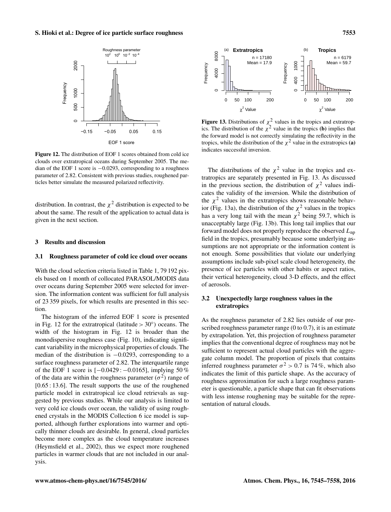

Figure 12. The distribution of EOF 1 scores obtained from cold ice clouds over extratropical oceans during September 2005. The median of the EOF 1 score is −0.0293, corresponding to a roughness parameter of 2.82. Consistent with previous studies, roughened particles better simulate the measured polarized reflectivity.

distribution. In contrast, the  $\chi^2$  distribution is expected to be about the same. The result of the application to actual data is given in the next section.

#### 3 Results and discussion

#### 3.1 Roughness parameter of cold ice cloud over oceans

With the cloud selection criteria listed in Table 1, 79 192 pixels based on 1 month of collocated PARASOL/MODIS data over oceans during September 2005 were selected for inversion. The information content was sufficient for full analysis of 23 359 pixels, for which results are presented in this section.

The histogram of the inferred EOF 1 score is presented in Fig. 12 for the extratropical (latitude >  $30^{\circ}$ ) oceans. The width of the histogram in Fig. 12 is broader than the monodispersive roughness case (Fig. 10), indicating significant variability in the microphysical properties of clouds. The median of the distribution is −0.0293, corresponding to a surface roughness parameter of 2.82. The interquartile range of the EOF 1 score is [−0.0429 : −0.0165], implying 50 % of the data are within the roughness parameter  $(\sigma^2)$  range of [0.65 : 13.6]. The result supports the use of the roughened particle model in extratropical ice cloud retrievals as suggested by previous studies. While our analysis is limited to very cold ice clouds over ocean, the validity of using roughened crystals in the MODIS Collection 6 ice model is supported, although further explorations into warmer and optically thinner clouds are desirable. In general, cloud particles become more complex as the cloud temperature increases (Heymsfield et al., 2002), thus we expect more roughened particles in warmer clouds that are not included in our analysis.



**Figure 13.** Distributions of  $\chi^2$  values in the tropics and extratropics. The distribution of the  $\chi^2$  value in the tropics (**b**) implies that the forward model is not correctly simulating the reflectivity in the tropics, while the distribution of the  $\chi^2$  value in the extratropics (a) indicates successful inversion.

The distributions of the  $\chi^2$  value in the tropics and extratropics are separately presented in Fig. 13. As discussed in the previous section, the distribution of  $\chi^2$  values indicates the validity of the inversion. While the distribution of the  $\chi^2$  values in the extratropics shows reasonable behavior (Fig. 13a), the distribution of the  $\chi^2$  values in the tropics has a very long tail with the mean  $\chi^2$  being 59.7, which is unacceptably large (Fig. 13b). This long tail implies that our forward model does not properly reproduce the observed  $L_{np}$ field in the tropics, presumably because some underlying assumptions are not appropriate or the information content is not enough. Some possibilities that violate our underlying assumptions include sub-pixel scale cloud heterogeneity, the presence of ice particles with other habits or aspect ratios, their vertical heterogeneity, cloud 3-D effects, and the effect of aerosols.

# 3.2 Unexpectedly large roughness values in the extratropics

As the roughness parameter of 2.82 lies outside of our prescribed roughness parameter range (0 to 0.7), it is an estimate by extrapolation. Yet, this projection of roughness parameter implies that the conventional degree of roughness may not be sufficient to represent actual cloud particles with the aggregate column model. The proportion of pixels that contains inferred roughness parameter  $\sigma^2 > 0.7$  is 74%, which also indicates the limit of this particle shape. As the accuracy of roughness approximation for such a large roughness parameter is questionable, a particle shape that can fit observations with less intense roughening may be suitable for the representation of natural clouds.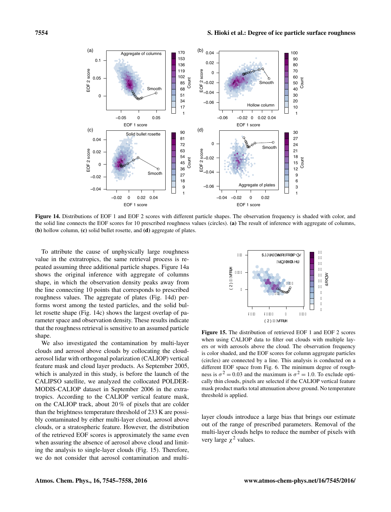

Figure 14. Distributions of EOF 1 and EOF 2 scores with different particle shapes. The observation frequency is shaded with color, and the solid line connects the EOF scores for 10 prescribed roughness values (circles). (a) The result of inference with aggregate of columns, (b) hollow column, (c) solid bullet rosette, and (d) aggregate of plates.

To attribute the cause of unphysically large roughness value in the extratropics, the same retrieval process is repeated assuming three additional particle shapes. Figure 14a shows the original inference with aggregate of columns shape, in which the observation density peaks away from the line connecting 10 points that corresponds to prescribed roughness values. The aggregate of plates (Fig. 14d) performs worst among the tested particles, and the solid bullet rosette shape (Fig. 14c) shows the largest overlap of parameter space and observation density. These results indicate that the roughness retrieval is sensitive to an assumed particle shape.

We also investigated the contamination by multi-layer clouds and aerosol above clouds by collocating the cloudaerosol lidar with orthogonal polarization (CALIOP) vertical feature mask and cloud layer products. As September 2005, which is analyzed in this study, is before the launch of the CALIPSO satellite, we analyzed the collocated POLDER-MODIS-CALIOP dataset in September 2006 in the extratropics. According to the CALIOP vertical feature mask, on the CALIOP track, about 20 % of pixels that are colder than the brightness temperature threshold of 233 K are possibly contaminated by either multi-layer cloud, aerosol above clouds, or a stratospheric feature. However, the distribution of the retrieved EOF scores is approximately the same even when assuring the absence of aerosol above cloud and limiting the analysis to single-layer clouds (Fig. 15). Therefore, we do not consider that aerosol contamination and multi-



Figure 15. The distribution of retrieved EOF 1 and EOF 2 scores when using CALIOP data to filter out clouds with multiple layers or with aerosols above the cloud. The observation frequency is color shaded, and the EOF scores for column aggregate particles (circles) are connected by a line. This analysis is conducted on a different EOF space from Fig. 6. The minimum degree of roughness is  $\sigma^2 = 0.03$  and the maximum is  $\sigma^2 = 1.0$ . To exclude optically thin clouds, pixels are selected if the CALIOP vertical feature mask product marks total attenuation above ground. No temperature threshold is applied.

layer clouds introduce a large bias that brings our estimate out of the range of prescribed parameters. Removal of the multi-layer clouds helps to reduce the number of pixels with very large  $\chi^2$  values.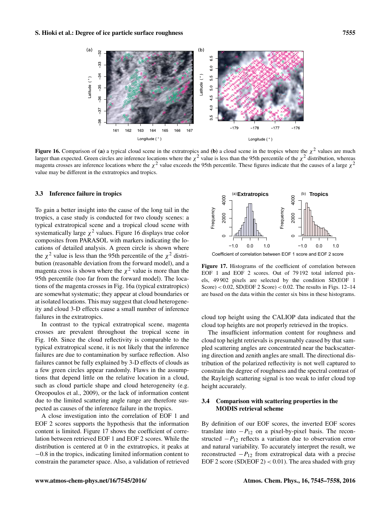

**Figure 16.** Comparison of (a) a typical cloud scene in the extratropics and (b) a cloud scene in the tropics where the  $\chi^2$  values are much larger than expected. Green circles are inference locations where the  $\chi^2$  value is less than the 95th percentile of the  $\chi^2$  distribution, whereas magenta crosses are inference locations where the  $\chi^2$  value exceeds the 95th percentile. These figures indicate that the causes of a large  $\chi^2$ value may be different in the extratropics and tropics.

#### 3.3 Inference failure in tropics

To gain a better insight into the cause of the long tail in the tropics, a case study is conducted for two cloudy scenes: a typical extratropical scene and a tropical cloud scene with systematically large  $\chi^2$  values. Figure 16 displays true color composites from PARASOL with markers indicating the locations of detailed analysis. A green circle is shown where the  $\chi^2$  value is less than the 95th percentile of the  $\chi^2$  distribution (reasonable deviation from the forward model), and a magenta cross is shown where the  $\chi^2$  value is more than the 95th percentile (too far from the forward model). The locations of the magenta crosses in Fig. 16a (typical extratropics) are somewhat systematic; they appear at cloud boundaries or at isolated locations. This may suggest that cloud heterogeneity and cloud 3-D effects cause a small number of inference failures in the extratropics.

In contrast to the typical extratropical scene, magenta crosses are prevalent throughout the tropical scene in Fig. 16b. Since the cloud reflectivity is comparable to the typical extratropical scene, it is not likely that the inference failures are due to contamination by surface reflection. Also failures cannot be fully explained by 3-D effects of clouds as a few green circles appear randomly. Flaws in the assumptions that depend little on the relative location in a cloud, such as cloud particle shape and cloud heterogeneity (e.g. Oreopoulos et al., 2009), or the lack of information content due to the limited scattering angle range are therefore suspected as causes of the inference failure in the tropics.

A close investigation into the correlation of EOF 1 and EOF 2 scores supports the hypothesis that the information content is limited. Figure 17 shows the coefficient of correlation between retrieved EOF 1 and EOF 2 scores. While the distribution is centered at 0 in the extratropics, it peaks at −0.8 in the tropics, indicating limited information content to constrain the parameter space. Also, a validation of retrieved



Coefficient of correlation between EOF 1 score and EOF 2 score

Figure 17. Histograms of the coefficient of correlation between EOF 1 and EOF 2 scores. Out of 79 192 total inferred pixels, 49 902 pixels are selected by the condition SD(EOF 1 Score)  $< 0.02$ , SD(EOF 2 Score)  $< 0.02$ . The results in Figs. 12–14 are based on the data within the center six bins in these histograms.

cloud top height using the CALIOP data indicated that the cloud top heights are not properly retrieved in the tropics.

The insufficient information content for roughness and cloud top height retrievals is presumably caused by that sampled scattering angles are concentrated near the backscattering direction and zenith angles are small. The directional distribution of the polarized reflectivity is not well captured to constrain the degree of roughness and the spectral contrast of the Rayleigh scattering signal is too weak to infer cloud top height accurately.

# 3.4 Comparison with scattering properties in the MODIS retrieval scheme

By definition of our EOF scores, the inverted EOF scores translate into  $-P_{12}$  on a pixel-by-pixel basis. The reconstructed  $-P_{12}$  reflects a variation due to observation error and natural variability. To accurately interpret the result, we reconstructed  $-P_{12}$  from extratropical data with a precise EOF 2 score (SD(EOF 2) < 0.01). The area shaded with gray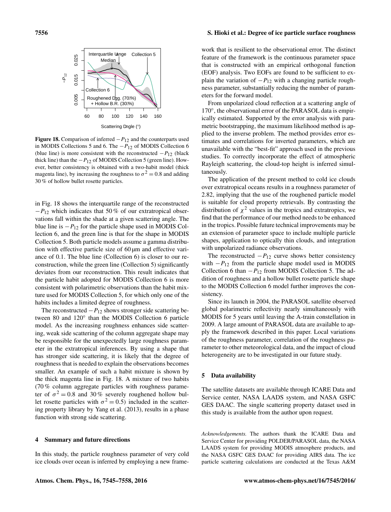#### Interquartile lange Collection 5 0.025 0.005 0.015 0.025 Median *−P*12  $0.015$ Collection 6 0.005 Roughened agg. (70Å%) + Hollow B.R. (30%) 60 80 100 120 140 160 Scattering angle (°)

Figure 18. Comparison of inferred  $-P_{12}$  and the counterparts used in MODIS Collections 5 and 6. The  $-P_{12}$  of MODIS Collection 6 (blue line) is more consistent with the reconstructed  $-P_{12}$  (black thick line) than the  $-P_{12}$  of MODIS Collection 5 (green line). However, better consistency is obtained with a two-habit model (thick magenta line), by increasing the roughness to  $\sigma^2 = 0.8$  and adding 30 % of hollow bullet rosette particles.

in Fig. 18 shows the interquartile range of the reconstructed  $-P_{12}$  which indicates that 50% of our extratropical observations fall within the shade at a given scattering angle. The blue line is  $-P_{12}$  for the particle shape used in MODIS Collection 6, and the green line is that for the shape in MODIS Collection 5. Both particle models assume a gamma distribution with effective particle size of 60 µm and effective variance of 0.1. The blue line (Collection 6) is closer to our reconstruction, while the green line (Collection 5) significantly deviates from our reconstruction. This result indicates that the particle habit adopted for MODIS Collection 6 is more consistent with polarimetric observations than the habit mixture used for MODIS Collection 5, for which only one of the habits includes a limited degree of roughness.

The reconstructed  $-P_{12}$  shows stronger side scattering between 80 and 120° than the MODIS Collection 6 particle model. As the increasing roughness enhances side scattering, weak side scattering of the column aggregate shape may be responsible for the unexpectedly large roughness parameter in the extratropical inferences. By using a shape that has stronger side scattering, it is likely that the degree of roughness that is needed to explain the observations becomes smaller. An example of such a habit mixture is shown by the thick magenta line in Fig. 18. A mixture of two habits (70 % column aggregate particles with roughness parameter of  $\sigma^2 = 0.8$  and 30% severely roughened hollow bullet rosette particles with  $\sigma^2 = 0.5$ ) included in the scattering property library by Yang et al. (2013), results in a phase function with strong side scattering.

#### 4 Summary and future directions

In this study, the particle roughness parameter of very cold ice clouds over ocean is inferred by employing a new frame-

# 7556 S. Hioki et al.: Degree of ice particle surface roughness

work that is resilient to the observational error. The distinct feature of the framework is the continuous parameter space that is constructed with an empirical orthogonal function (EOF) analysis. Two EOFs are found to be sufficient to explain the variation of  $-P_{12}$  with a changing particle roughness parameter, substantially reducing the number of parameters for the forward model.

From unpolarized cloud reflection at a scattering angle of 170°, the observational error of the PARASOL data is empirically estimated. Supported by the error analysis with parametric bootstrapping, the maximum likelihood method is applied to the inverse problem. The method provides error estimates and correlations for inverted parameters, which are unavailable with the "best-fit" approach used in the previous studies. To correctly incorporate the effect of atmospheric Rayleigh scattering, the cloud-top height is inferred simultaneously.

The application of the present method to cold ice clouds over extratropical oceans results in a roughness parameter of 2.82, implying that the use of the roughened particle model is suitable for cloud property retrievals. By contrasting the distribution of  $\chi^2$  values in the tropics and extratropics, we find that the performance of our method needs to be enhanced in the tropics. Possible future technical improvements may be an extension of parameter space to include multiple particle shapes, application to optically thin clouds, and integration with unpolarized radiance observations.

The reconstructed  $-P_{12}$  curve shows better consistency with  $-P_{12}$  from the particle shape model used in MODIS Collection 6 than  $-P_{12}$  from MODIS Collection 5. The addition of roughness and a hollow bullet rosette particle shape to the MODIS Collection 6 model further improves the consistency.

Since its launch in 2004, the PARASOL satellite observed global polarimetric reflectivity nearly simultaneously with MODIS for 5 years until leaving the A-train constellation in 2009. A large amount of PARASOL data are available to apply the framework described in this paper. Local variations of the roughness parameter, correlation of the roughness parameter to other meteorological data, and the impact of cloud heterogeneity are to be investigated in our future study.

## 5 Data availability

The satellite datasets are available through ICARE Data and Service center, NASA LAADS system, and NASA GSFC GES DAAC. The single scattering property dataset used in this study is available from the author upon request.

*Acknowledgements.* The authors thank the ICARE Data and Service Center for providing POLDER/PARASOL data, the NASA LAADS system for providing MODIS atmosphere products, and the NASA GSFC GES DAAC for providing AIRS data. The ice particle scattering calculations are conducted at the Texas A&M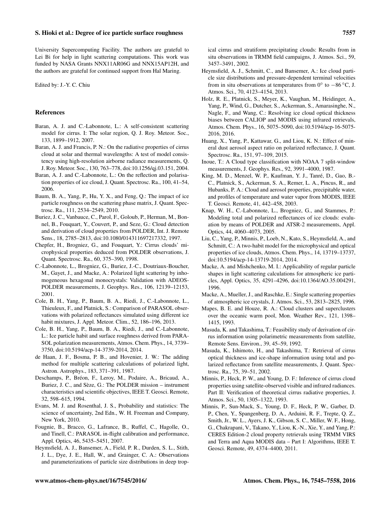University Supercomputing Facility. The authors are grateful to Lei Bi for help in light scattering computations. This work was funded by NASA Grants NNX11AR06G and NNX15AP12H, and the authors are grateful for continued support from Hal Maring.

Edited by: J.-Y. C. Chiu

# References

- Baran, A. J. and C.-Labonnote, L.: A self-consistent scattering model for cirrus. I: The solar region, Q. J. Roy. Meteor. Soc., 133, 1899–1912, 2007.
- Baran, A. J. and Francis, P. N.: On the radiative properties of cirrus cloud at solar and thermal wavelengths: A test of model consistency using high-resolution airborne radiance measurements, Q. J. Roy. Meteor. Soc., 130, 763–778, doi[:10.1256/qj.03.151,](http://dx.doi.org/10.1256/qj.03.151) 2004.
- Baran, A. J. and C.-Labonnote, L.: On the reflection and polarisation properties of ice cloud, J. Quant. Spectrosc. Ra., 100, 41–54, 2006.
- Baum, B. A., Yang, P., Hu, Y. X., and Feng, Q.: The impact of ice particle roughness on the scattering phase matrix, J. Quant. Spectrosc. Ra., 111, 2534–2549, 2010.
- Buriez, J. C., Vanbauce, C., Parol, F., Goloub, P., Herman, M., Bonnel, B., Fouquart, Y., Couvert, P., and Seze, G.: Cloud detection and derivation of cloud properties from POLDER, Int. J. Remote Sens., 18, 2785–2813, doi[:10.1080/014311697217332,](http://dx.doi.org/10.1080/014311697217332) 1997.
- Chepfer, H., Brogniez, G., and Fouquart, Y.: Cirrus clouds' microphysical properties deduced from POLDER observations, J. Quant. Spectrosc. Ra., 60, 375–390, 1998.
- C.-Labonnote, L., Brogniez, G., Buriez, J.-C., Doutriaux-Boucher, M., Gayet, J., and Macke, A.: Polarized light scattering by inhomogeneous hexagonal monocrystals: Validation with ADEOS-POLDER measurements, J. Geophys. Res., 106, 12139–12153, 2001.
- Cole, B. H., Yang, P., Baum, B. A., Riedi, J., C.-Labonnote, L., Thieuleux, F., and Platnick, S.: Comparison of PARASOL observations with polarized reflectances simulated using different ice habit mixtures, J. Appl. Meteor. Clim., 52, 186–196, 2013.
- Cole, B. H., Yang, P., Baum, B. A., Riedi, J., and C.-Labonnote, L.: Ice particle habit and surface roughness derived from PARA-SOL polarization measurements, Atmos. Chem. Phys., 14, 3739– 3750, doi[:10.5194/acp-14-3739-2014,](http://dx.doi.org/10.5194/acp-14-3739-2014) 2014.
- de Haan, J. F., Bosma, P. B., and Hovenier, J. W.: The adding method for multiple scattering calculations of polarized light, Astron. Astrophys., 183, 371–391, 1987.
- Deschamps, P., Bréon, F., Leroy, M., Podaire, A., Bricaud, A., Buriez, J. C., and Sèze, G.: The POLDER mission – instrument characteristics and scientific objectives, IEEE T. Geosci. Remote, 32, 598–615, 1994.
- Evans, M. J. and Rosenthal, J. S., Probability and statistics: The science of uncertainty, 2nd Edn., W. H. Freeman and Company, New York, 2010.
- Fougnie, B., Bracco, G., Lafrance, B., Ruffel, C., Hagolle, O., and Tinell, C.: PARASOL in-flight calibration and performance, Appl. Optics, 46, 5435–5451, 2007.
- Heymsfield, A. J., Bansemer, A., Field, P. R., Durden, S. L., Stith, J. L., Dye, J. E., Hall, W., and Grainger, C. A.: Observations and parameterizations of particle size distributions in deep trop-

ical cirrus and stratiform precipitating clouds: Results from in situ observations in TRMM field campaigns, J. Atmos. Sci., 59, 3457–3491, 2002.

- Heymsfield, A. J., Schmitt, C., and Bansemer, A.: Ice cloud particle size distributions and pressure-dependent terminal velocities from in situ observations at temperatures from  $0^{\circ}$  to  $-86^{\circ}$ C, J. Atmos. Sci., 70, 4123–4154, 2013.
- Holz, R. E., Platnick, S., Meyer, K., Vaughan, M., Heidinger, A., Yang, P., Wind, G., Dutcher, S., Ackerman, S., Amarasinghe, N., Nagle, F., and Wang, C.: Resolving ice cloud optical thickness biases between CALIOP and MODIS using infrared retrievals, Atmos. Chem. Phys., 16, 5075–5090, doi[:10.5194/acp-16-5075-](http://dx.doi.org/10.5194/acp-16-5075-2016) [2016,](http://dx.doi.org/10.5194/acp-16-5075-2016) 2016.
- Huang, X., Yang, P., Kattawar, G., and Liou, K. N.: Effect of mineral dust aerosol aspect ratio on polarized reflectance, J. Quant. Spectrosc. Ra., 151, 97–109, 2015.
- Inoue, T.: A Cloud type classification with NOAA 7 split-window measurements, J. Geophys. Res., 92, 3991–4000, 1987.
- King, M. D., Menzel, W. P., Kaufman, Y. J., Tanré, D., Gao, B.- C., Platnick, S., Ackerman, S. A., Remer, L. A., Pincus, R., and Hubanks, P. A.: Cloud and aerosol properties, precipitable water, and profiles of temperature and water vapor from MODIS, IEEE T. Geosci. Remote, 41, 442–458, 2003.
- Knap, W. H., C.-Labonnote, L., Brogniez, G., and Stammes, P.: Modeling total and polarized reflectances of ice clouds: evaluation by means of POLDER and ATSR-2 measurements, Appl. Optics, 44, 4060–4073, 2005.
- Liu, C., Yang, P., Minnis, P., Loeb, N., Kato, S., Heymsfield, A., and Schmitt, C.: A two-habit model for the microphysical and optical properties of ice clouds, Atmos. Chem. Phys., 14, 13719–13737, doi[:10.5194/acp-14-13719-2014,](http://dx.doi.org/10.5194/acp-14-13719-2014) 2014.
- Macke, A. and Mishchenko, M. I.: Applicability of regular particle shapes in light scattering calculations for atmospheric ice particles, Appl. Optics, 35, 4291–4296, doi[:10.1364/AO.35.004291,](http://dx.doi.org/10.1364/AO.35.004291) 1996.
- Macke, A., Mueller, J., and Raschke, E.: Single scattering properties of atmospheric ice crystals, J. Atmos. Sci., 53, 2813–2825, 1996.
- Mapes, B. E. and Houze, R. A.: Cloud clusters and superclusters over the oceanic warm pool, Mon. Weather Rev., 121, 1398– 1415, 1993.
- Masuda, K. and Takashima, T.: Feasibility study of derivation of cirrus information using polarimetric measurements from satellite, Remote Sens. Environ., 39, 45–59, 1992.
- Masuda, K., Ishimoto, H., and Takashima, T.: Retrieval of cirrus optical thickness and ice-shape information using total and polarized reflectance from satellite measurements, J. Quant. Spectrosc. Ra., 75, 39–51, 2002.
- Minnis, P., Heck, P. W., and Young, D. F.: Inference of cirrus cloud properties using satellite-observed visible and infrared radiances. Part II: Verification of theoretical cirrus radiative properties, J. Atmos. Sci., 50, 1305–1322, 1993.
- Minnis, P., Sun-Mack, S., Young, D. F., Heck, P. W., Garber, D. P., Chen, Y., Spangenberg, D. A., Arduini, R. F., Trepte, Q. Z., Smith, Jr., W. L., Ayers, J. K., Gibson, S. C., Miller, W. F., Hong, G., Chakrapani, V., Takano, Y., Liou, K.-N., Xie, Y., and Yang, P.: CERES Edition-2 cloud property retrievals using TRMM VIRS and Terra and Aqua MODIS data – Part I: Algorithms, IEEE T. Geosci. Remote, 49, 4374–4400, 2011.